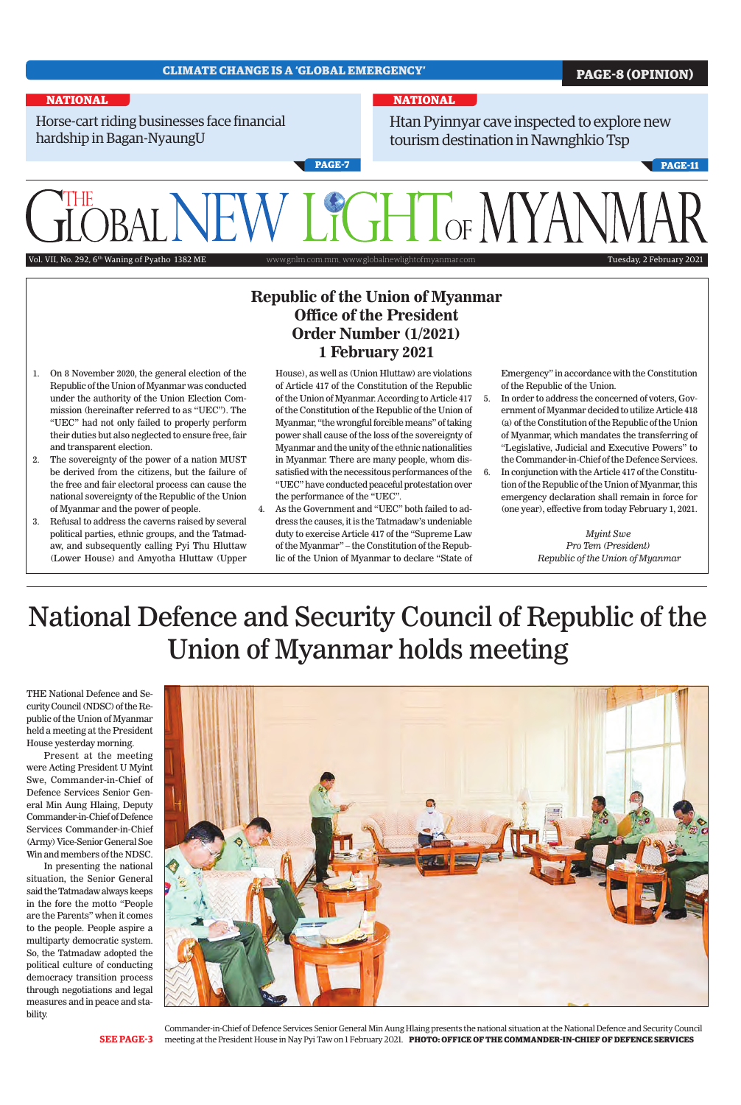## **CLIMATE CHANGE IS A 'GLOBAL EMERGENCY' PAGE-8 (OPINION) NATIONAL NATIONAL** Horse-cart riding businesses face financial Htan Pyinnyar cave inspected to explore new hardship in Bagan-NyaungU tourism destination in Nawnghkio Tsp **PAGE-7 PAGE-11 GHT** OF MY Vol. VII, No. 292, 6<sup>th</sup> Waning of Pyatho 1382 ME www.gnlm.com.mm, www.globalnewlightofmyanmar.com Tuesday, 2 February 2021

THE National Defence and Security Council (NDSC) of the Republic of the Union of Myanmar held a meeting at the President House yesterday morning.

Present at the meeting were Acting President U Myint Swe, Commander-in-Chief of Defence Services Senior General Min Aung Hlaing, Deputy Commander-in-Chief of Defence Services Commander-in-Chief (Army) Vice-Senior General Soe Win and members of the NDSC. In presenting the national situation, the Senior General said the Tatmadaw always keeps in the fore the motto "People are the Parents" when it comes to the people. People aspire a multiparty democratic system. So, the Tatmadaw adopted the political culture of conducting democracy transition process through negotiations and legal measures and in peace and stability.



**SEE PAGE-3**

## **Republic of the Union of Myanmar Office of the President Order Number (1/2021) 1 February 2021**

- 1. On 8 November 2020, the general election of the Republic of the Union of Myanmar was conducted under the authority of the Union Election Commission (hereinafter referred to as "UEC"). The "UEC" had not only failed to properly perform their duties but also neglected to ensure free, fair and transparent election.
- 2. The sovereignty of the power of a nation MUST be derived from the citizens, but the failure of the free and fair electoral process can cause the national sovereignty of the Republic of the Union of Myanmar and the power of people.
- 3. Refusal to address the caverns raised by several political parties, ethnic groups, and the Tatmadaw, and subsequently calling Pyi Thu Hluttaw (Lower House) and Amyotha Hluttaw (Upper
- House), as well as (Union Hluttaw) are violations of Article 417 of the Constitution of the Republic of the Union of Myanmar. According to Article 417 of the Constitution of the Republic of the Union of Myanmar, "the wrongful forcible means" of taking power shall cause of the loss of the sovereignty of Myanmar and the unity of the ethnic nationalities in Myanmar. There are many people, whom dissatisfied with the necessitous performances of the "UEC" have conducted peaceful protestation over the performance of the "UEC".
- 4. As the Government and "UEC" both failed to address the causes, it is the Tatmadaw's undeniable duty to exercise Article 417 of the "Supreme Law of the Myanmar" – the Constitution of the Republic of the Union of Myanmar to declare "State of

Emergency" in accordance with the Constitution of the Republic of the Union.

- 5. In order to address the concerned of voters, Government of Myanmar decided to utilize Article 418 (a) of the Constitution of the Republic of the Union of Myanmar, which mandates the transferring of "Legislative, Judicial and Executive Powers" to the Commander-in-Chief of the Defence Services.
- 6. In conjunction with the Article 417 of the Constitution of the Republic of the Union of Myanmar, this emergency declaration shall remain in force for (one year), effective from today February 1, 2021.

*Myint Swe Pro Tem (President) Republic of the Union of Myanmar*

# National Defence and Security Council of Republic of the Union of Myanmar holds meeting

Commander-in-Chief of Defence Services Senior General Min Aung Hlaing presents the national situation at the National Defence and Security Council meeting at the President House in Nay Pyi Taw on 1 February 2021. **PHOTO: OFFICE OF THE COMMANDER-IN-CHIEF OF DEFENCE SERVICES**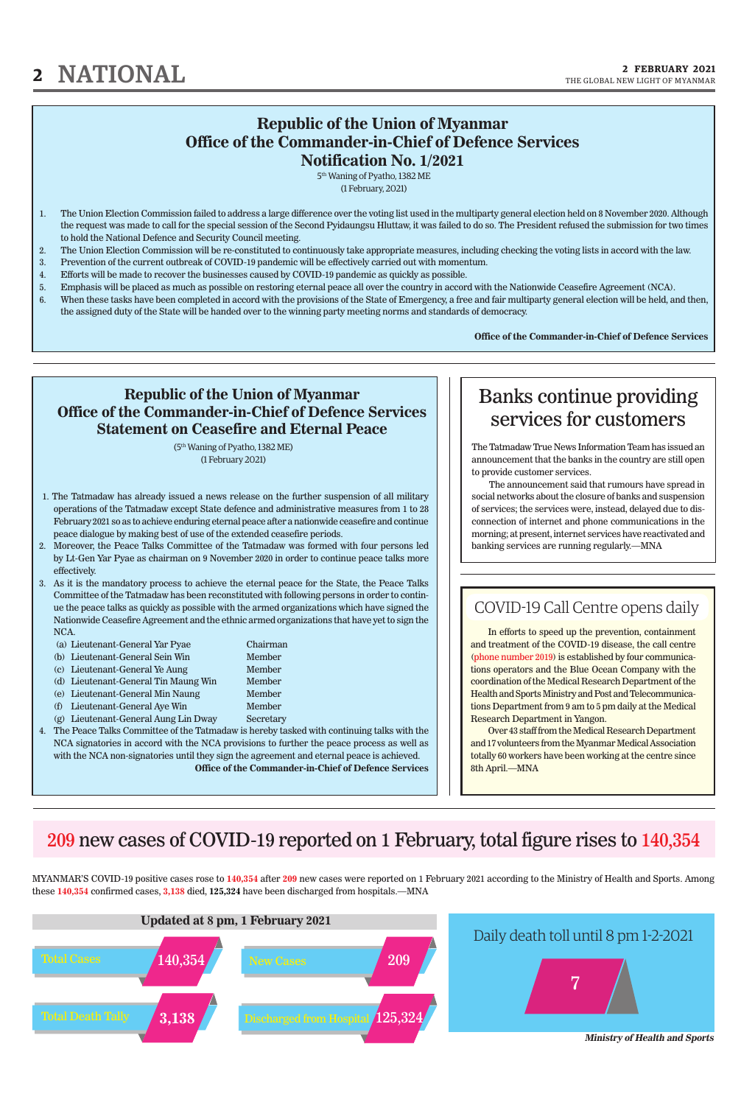In efforts to speed up the prevention, containment and treatment of the COVID-19 disease, the call centre (phone number 2019) is established by four communications operators and the Blue Ocean Company with the coordination of the Medical Research Department of the Health and Sports Ministry and Post and Telecommunications Department from 9 am to 5 pm daily at the Medical Research Department in Yangon.

Over 43 staff from the Medical Research Department and 17 volunteers from the Myanmar Medical Association totally 60 workers have been working at the centre since 8th April.—MNA

## COVID-19 Call Centre opens daily

### **Republic of the Union of Myanmar Office of the Commander-in-Chief of Defence Services Notification No. 1/2021**

5th Waning of Pyatho, 1382 ME (1 February, 2021)

- 1. The Union Election Commission failed to address a large difference over the voting list used in the multiparty general election held on 8 November 2020. Although the request was made to call for the special session of the Second Pyidaungsu Hluttaw, it was failed to do so. The President refused the submission for two times to hold the National Defence and Security Council meeting.
- 2. The Union Election Commission will be re-constituted to continuously take appropriate measures, including checking the voting lists in accord with the law.
- 3. Prevention of the current outbreak of COVID-19 pandemic will be effectively carried out with momentum.
- 4. Efforts will be made to recover the businesses caused by COVID-19 pandemic as quickly as possible.
- 5. Emphasis will be placed as much as possible on restoring eternal peace all over the country in accord with the Nationwide Ceasefire Agreement (NCA).
- 6. When these tasks have been completed in accord with the provisions of the State of Emergency, a free and fair multiparty general election will be held, and then, the assigned duty of the State will be handed over to the winning party meeting norms and standards of democracy.

- 1. The Tatmadaw has already issued a news release on the further suspension of all military operations of the Tatmadaw except State defence and administrative measures from 1 to 28 February 2021 so as to achieve enduring eternal peace after a nationwide ceasefire and continue peace dialogue by making best of use of the extended ceasefire periods.
- 2. Moreover, the Peace Talks Committee of the Tatmadaw was formed with four persons led by Lt-Gen Yar Pyae as chairman on 9 November 2020 in order to continue peace talks more effectively.
- 3. As it is the mandatory process to achieve the eternal peace for the State, the Peace Talks Committee of the Tatmadaw has been reconstituted with following persons in order to continue the peace talks as quickly as possible with the armed organizations which have signed the Nationwide Ceasefire Agreement and the ethnic armed organizations that have yet to sign the NCA.
	- (a) Lieutenant-General Yar Pyae Chairman
	- (b) Lieutenant-General Sein Win Member
	- (c) Lieutenant-General Ye Aung Member
	- (d) Lieutenant-General Tin Maung Win Member
	- (e) Lieutenant-General Min Naung Member
	- (f) Lieutenant-General Aye Win Member
	-

(g) Lieutenant-General Aung Lin Dway Secretary

**Office of the Commander-in-Chief of Defence Services**

MYANMAR'S COVID-19 positive cases rose to **140,354** after **209** new cases were reported on 1 February 2021 according to the Ministry of Health and Sports. Among these **140,354** confirmed cases, **3,138** died, **125,324** have been discharged from hospitals.—MNA



209 new cases of COVID-19 reported on 1 February, total figure rises to 140,354

The Tatmadaw True News Information Team has issued an announcement that the banks in the country are still open to provide customer services.

The announcement said that rumours have spread in social networks about the closure of banks and suspension of services; the services were, instead, delayed due to disconnection of internet and phone communications in the morning; at present, internet services have reactivated and banking services are running regularly.—MNA

## Banks continue providing services for customers

### **Republic of the Union of Myanmar Office of the Commander-in-Chief of Defence Services Statement on Ceasefire and Eternal Peace**

(5th Waning of Pyatho, 1382 ME) (1 February 2021)

4. The Peace Talks Committee of the Tatmadaw is hereby tasked with continuing talks with the NCA signatories in accord with the NCA provisions to further the peace process as well as with the NCA non-signatories until they sign the agreement and eternal peace is achieved. **Office of the Commander-in-Chief of Defence Services**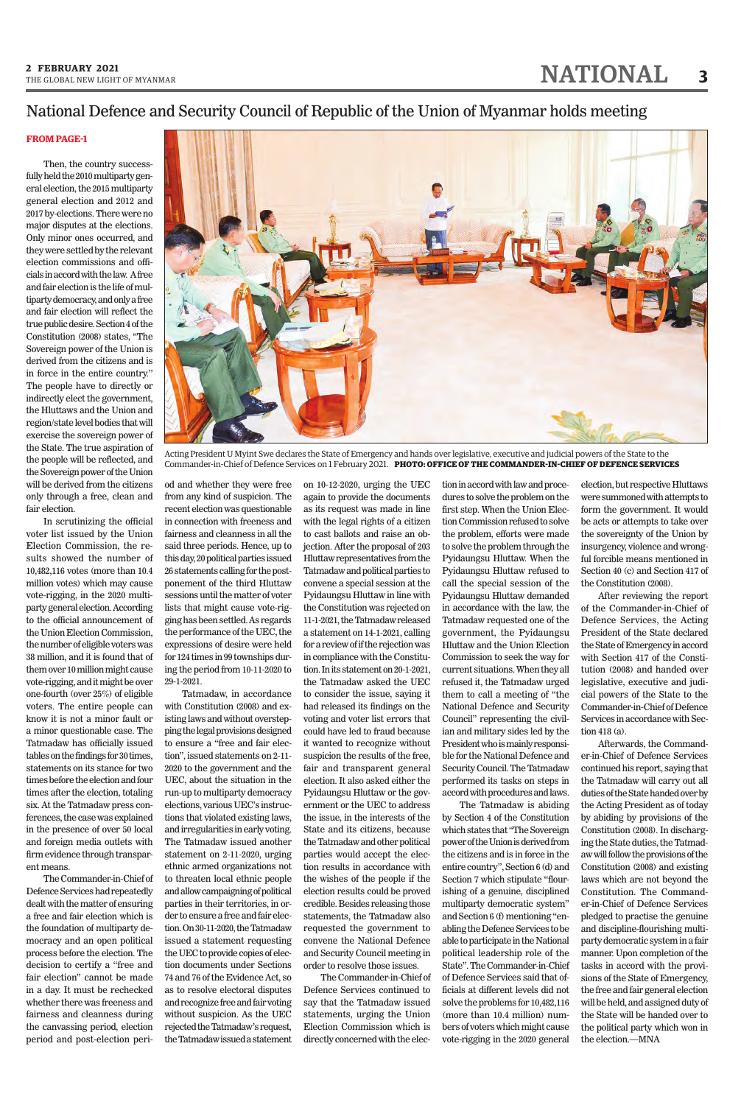## 2 FEBRUARY 2021<br>THE GLOBAL NEW LIGHT OF MYANMAR<br>**3**

#### **FROM PAGE-1**

Then, the country successfully held the 2010 multiparty general election, the 2015 multiparty general election and 2012 and 2017 by-elections. There were no major disputes at the elections. Only minor ones occurred, and they were settled by the relevant election commissions and officials in accord with the law. A free and fair election is the life of multiparty democracy, and only a free and fair election will reflect the true public desire. Section 4 of the Constitution (2008) states, "The Sovereign power of the Union is derived from the citizens and is in force in the entire country." The people have to directly or indirectly elect the government, the Hluttaws and the Union and region/state level bodies that will exercise the sovereign power of the State. The true aspiration of the people will be reflected, and the Sovereign power of the Union will be derived from the citizens only through a free, clean and fair election.

In scrutinizing the official voter list issued by the Union Election Commission, the results showed the number of 10,482,116 votes (more than 10.4 million votes) which may cause vote-rigging, in the 2020 multiparty general election. According to the official announcement of the Union Election Commission, the number of eligible voters was 38 million, and it is found that of them over 10 million might cause vote-rigging, and it might be over one-fourth (over 25%) of eligible voters. The entire people can know it is not a minor fault or a minor questionable case. The Tatmadaw has officially issued tables on the findings for 30 times, statements on its stance for two times before the election and four times after the election, totaling six. At the Tatmadaw press conferences, the case was explained in the presence of over 50 local and foreign media outlets with firm evidence through transpar-

ent means.

The Commander-in-Chief of Defence Services had repeatedly dealt with the matter of ensuring a free and fair election which is the foundation of multiparty democracy and an open political process before the election. The decision to certify a "free and fair election" cannot be made in a day. It must be rechecked whether there was freeness and fairness and cleanness during the canvassing period, election period and post-election peri-

## National Defence and Security Council of Republic of the Union of Myanmar holds meeting

od and whether they were free from any kind of suspicion. The recent election was questionable in connection with freeness and fairness and cleanness in all the said three periods. Hence, up to this day, 20 political parties issued 26 statements calling for the postponement of the third Hluttaw sessions until the matter of voter lists that might cause vote-rigging has been settled. As regards the performance of the UEC, the expressions of desire were held for 124 times in 99 townships during the period from 10-11-2020 to 29-1-2021.

Tatmadaw, in accordance with Constitution (2008) and existing laws and without overstepping the legal provisions designed to ensure a "free and fair election", issued statements on 2-11- 2020 to the government and the UEC, about the situation in the run-up to multiparty democracy elections, various UEC's instructions that violated existing laws, and irregularities in early voting. The Tatmadaw issued another statement on 2-11-2020, urging ethnic armed organizations not to threaten local ethnic people and allow campaigning of political parties in their territories, in order to ensure a free and fair election. On 30-11-2020, the Tatmadaw issued a statement requesting the UEC to provide copies of election documents under Sections 74 and 76 of the Evidence Act, so as to resolve electoral disputes and recognize free and fair voting without suspicion. As the UEC rejected the Tatmadaw's request, the Tatmadaw issued a statement

on 10-12-2020, urging the UEC again to provide the documents as its request was made in line with the legal rights of a citizen to cast ballots and raise an objection. After the proposal of 203 Hluttaw representatives from the Tatmadaw and political parties to convene a special session at the Pyidaungsu Hluttaw in line with the Constitution was rejected on 11-1-2021, the Tatmadaw released a statement on 14-1-2021, calling for a review of if the rejection was in compliance with the Constitution. In its statement on 20-1-2021, the Tatmadaw asked the UEC to consider the issue, saying it had released its findings on the voting and voter list errors that could have led to fraud because it wanted to recognize without suspicion the results of the free, fair and transparent general election. It also asked either the Pyidaungsu Hluttaw or the government or the UEC to address the issue, in the interests of the State and its citizens, because the Tatmadaw and other political parties would accept the election results in accordance with the wishes of the people if the election results could be proved credible. Besides releasing those statements, the Tatmadaw also requested the government to convene the National Defence and Security Council meeting in order to resolve those issues. The Commander-in-Chief of Defence Services continued to say that the Tatmadaw issued statements, urging the Union Election Commission which is directly concerned with the election in accord with law and procedures to solve the problem on the first step. When the Union Election Commission refused to solve the problem, efforts were made to solve the problem through the Pyidaungsu Hluttaw. When the Pyidaungsu Hluttaw refused to call the special session of the Pyidaungsu Hluttaw demanded in accordance with the law, the Tatmadaw requested one of the government, the Pyidaungsu Hluttaw and the Union Election Commission to seek the way for current situations. When they all refused it, the Tatmadaw urged them to call a meeting of "the National Defence and Security Council" representing the civilian and military sides led by the President who is mainly responsible for the National Defence and Security Council. The Tatmadaw performed its tasks on steps in accord with procedures and laws.

The Tatmadaw is abiding by Section 4 of the Constitution which states that "The Sovereign power of the Union is derived from the citizens and is in force in the entire country", Section 6 (d) and Section 7 which stipulate "flourishing of a genuine, disciplined multiparty democratic system" and Section 6 (f) mentioning "enabling the Defence Services to be able to participate in the National political leadership role of the State". The Commander-in-Chief of Defence Services said that officials at different levels did not solve the problems for 10,482,116 (more than 10.4 million) numbers of voters which might cause vote-rigging in the 2020 general election, but respective Hluttaws were summoned with attempts to form the government. It would be acts or attempts to take over the sovereignty of the Union by insurgency, violence and wrongful forcible means mentioned in Section 40 (c) and Section 417 of the Constitution (2008).

After reviewing the report of the Commander-in-Chief of Defence Services, the Acting President of the State declared the State of Emergency in accord with Section 417 of the Constitution (2008) and handed over legislative, executive and judicial powers of the State to the Commander-in-Chief of Defence Services in accordance with Section 418 (a).

Afterwards, the Commander-in-Chief of Defence Services continued his report, saying that the Tatmadaw will carry out all duties of the State handed over by the Acting President as of today by abiding by provisions of the Constitution (2008). In discharging the State duties, the Tatmadaw will follow the provisions of the Constitution (2008) and existing laws which are not beyond the Constitution. The Commander-in-Chief of Defence Services pledged to practise the genuine and discipline-flourishing multiparty democratic system in a fair manner. Upon completion of the tasks in accord with the provisions of the State of Emergency, the free and fair general election will be held, and assigned duty of the State will be handed over to the political party which won in the election.—MNA



Acting President U Myint Swe declares the State of Emergency and hands over legislative, executive and judicial powers of the State to the Commander-in-Chief of Defence Services on 1 February 2021. **PHOTO: OFFICE OF THE COMMANDER-IN-CHIEF OF DEFENCE SERVICES**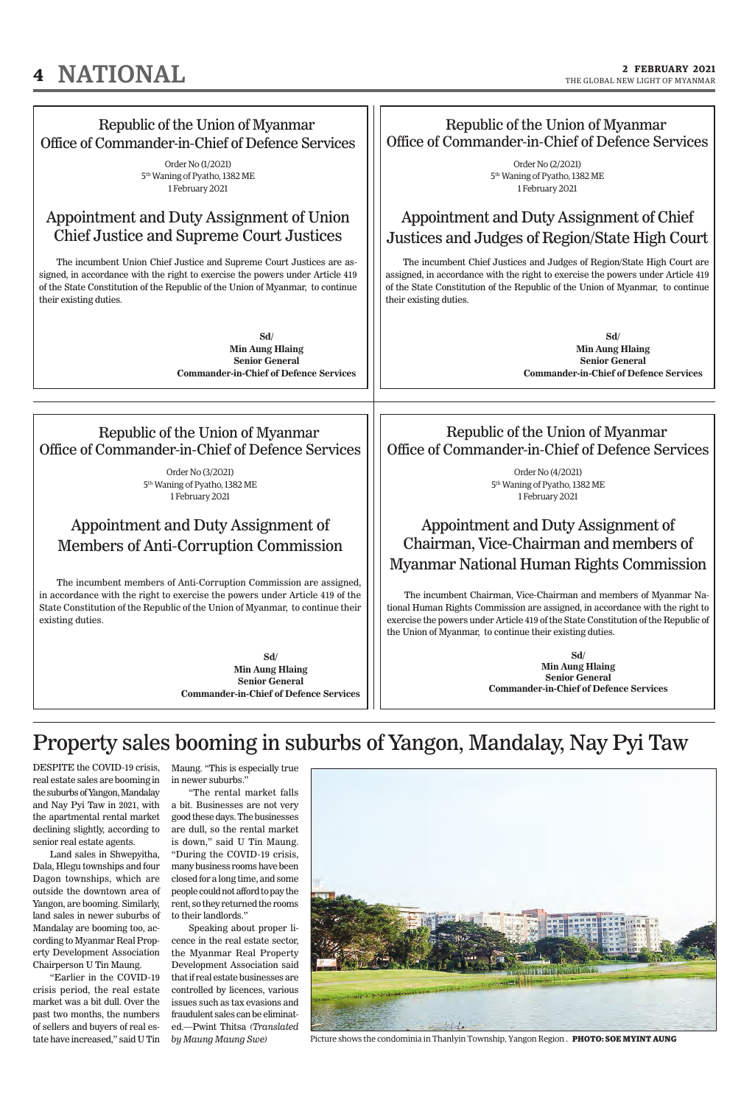## **4 NATIONAL 2 FEBRUARY 2021**



DESPITE the COVID-19 crisis, real estate sales are booming in the suburbs of Yangon, Mandalay and Nay Pyi Taw in 2021, with the apartmental rental market declining slightly, according to senior real estate agents.

Land sales in Shwepyitha, Dala, Hlegu townships and four Dagon townships, which are outside the downtown area of Yangon, are booming. Similarly, land sales in newer suburbs of Mandalay are booming too, according to Myanmar Real Property Development Association Chairperson U Tin Maung. "Earlier in the COVID-19 crisis period, the real estate market was a bit dull. Over the past two months, the numbers of sellers and buyers of real estate have increased," said U Tin Maung. "This is especially true in newer suburbs."

"The rental market falls a bit. Businesses are not very good these days. The businesses are dull, so the rental market is down," said U Tin Maung. "During the COVID-19 crisis,

many business rooms have been closed for a long time, and some people could not afford to pay the rent, so they returned the rooms to their landlords."

Speaking about proper licence in the real estate sector, the Myanmar Real Property Development Association said that if real estate businesses are controlled by licences, various issues such as tax evasions and fraudulent sales can be eliminated.—Pwint Thitsa *(Translated by Maung Maung Swe)*

## Property sales booming in suburbs of Yangon, Mandalay, Nay Pyi Taw



Picture shows the condominia in Thanlyin Township, Yangon Region . **PHOTO: SOE MYINT AUNG**